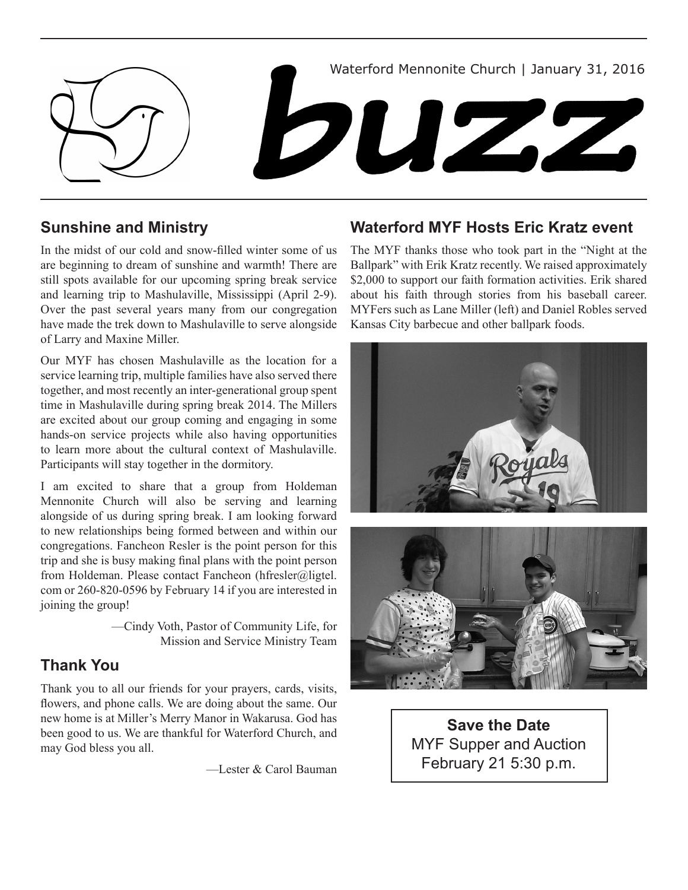

## **Sunshine and Ministry**

In the midst of our cold and snow-filled winter some of us are beginning to dream of sunshine and warmth! There are still spots available for our upcoming spring break service and learning trip to Mashulaville, Mississippi (April 2-9). Over the past several years many from our congregation have made the trek down to Mashulaville to serve alongside of Larry and Maxine Miller.

Our MYF has chosen Mashulaville as the location for a service learning trip, multiple families have also served there together, and most recently an inter-generational group spent time in Mashulaville during spring break 2014. The Millers are excited about our group coming and engaging in some hands-on service projects while also having opportunities to learn more about the cultural context of Mashulaville. Participants will stay together in the dormitory.

I am excited to share that a group from Holdeman Mennonite Church will also be serving and learning alongside of us during spring break. I am looking forward to new relationships being formed between and within our congregations. Fancheon Resler is the point person for this trip and she is busy making final plans with the point person from Holdeman. Please contact Fancheon (hfresler@ligtel. com or 260-820-0596 by February 14 if you are interested in joining the group!

> —Cindy Voth, Pastor of Community Life, for Mission and Service Ministry Team

## **Thank You**

Thank you to all our friends for your prayers, cards, visits, flowers, and phone calls. We are doing about the same. Our new home is at Miller's Merry Manor in Wakarusa. God has been good to us. We are thankful for Waterford Church, and may God bless you all.

—Lester & Carol Bauman

## **Waterford MYF Hosts Eric Kratz event**

The MYF thanks those who took part in the "Night at the Ballpark" with Erik Kratz recently. We raised approximately \$2,000 to support our faith formation activities. Erik shared about his faith through stories from his baseball career. MYFers such as Lane Miller (left) and Daniel Robles served Kansas City barbecue and other ballpark foods.



**Save the Date** MYF Supper and Auction February 21 5:30 p.m.